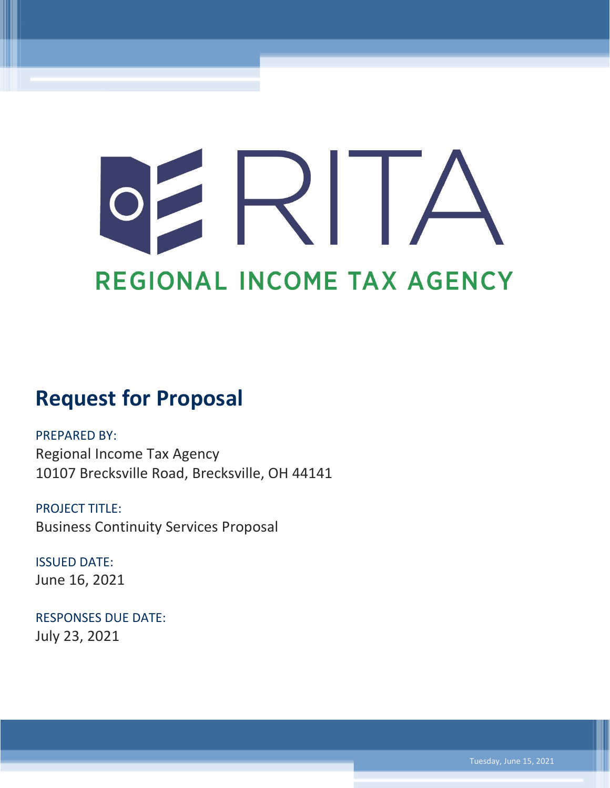# $\mathsf{R}$ REGIONAL INCOME TAX AGENCY

# **Request for Proposal**

PREPARED BY: Regional Income Tax Agency 10107 Brecksville Road, Brecksville, OH 44141

PROJECT TITLE: Business Continuity Services Proposal

ISSUED DATE: June 16, 2021

RESPONSES DUE DATE: July 23, 2021

Tuesday, June 15, 2021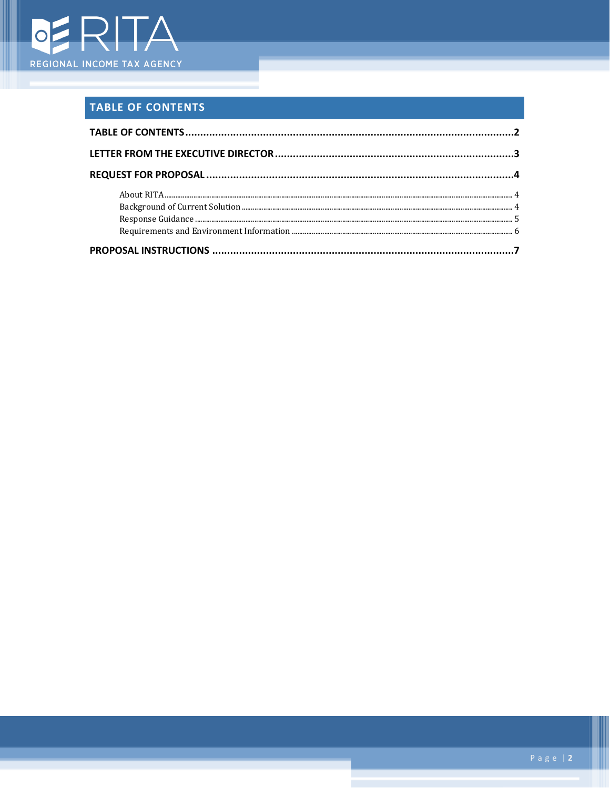

# <span id="page-1-0"></span>**TABLE OF CONTENTS**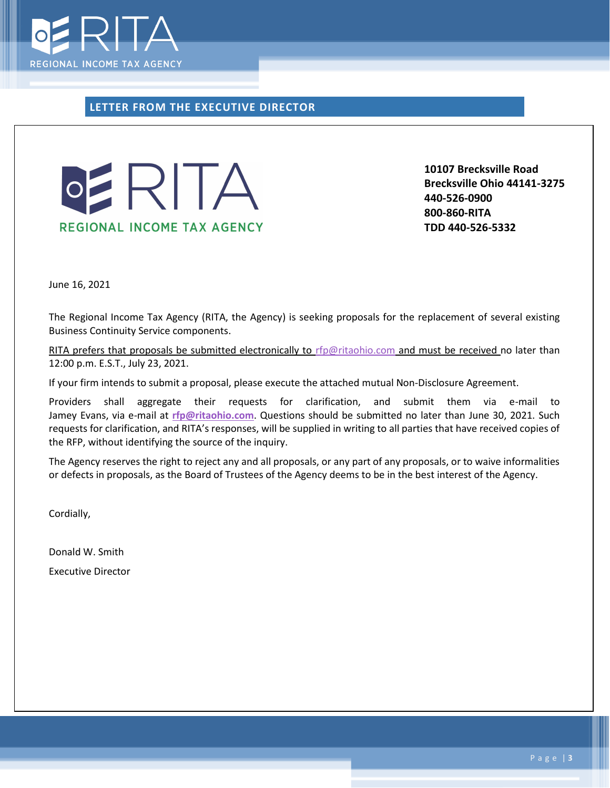

### <span id="page-2-0"></span>**LETTER FROM THE EXECUTIVE DIRECTOR**



**10107 Brecksville Road Brecksville Ohio 44141-3275 440-526-0900 800-860-RITA TDD 440-526-5332**

June 16, 2021

The Regional Income Tax Agency (RITA, the Agency) is seeking proposals for the replacement of several existing Business Continuity Service components.

RITA prefers that proposals be submitted electronically to [rfp@ritaohio.com](mailto:rfp@ritaohio.com) and must be received no later than 12:00 p.m. E.S.T., July 23, 2021.

If your firm intends to submit a proposal, please execute the attached mutual Non-Disclosure Agreement.

Providers shall aggregate their requests for clarification, and submit them via e-mail to Jamey Evans, via e-mail at **[rfp@ritaohio.com](mailto:rfp@ritaohio.com)**. Questions should be submitted no later than June 30, 2021. Such requests for clarification, and RITA's responses, will be supplied in writing to all parties that have received copies of the RFP, without identifying the source of the inquiry.

The Agency reserves the right to reject any and all proposals, or any part of any proposals, or to waive informalities or defects in proposals, as the Board of Trustees of the Agency deems to be in the best interest of the Agency.

Cordially,

Donald W. Smith Executive Director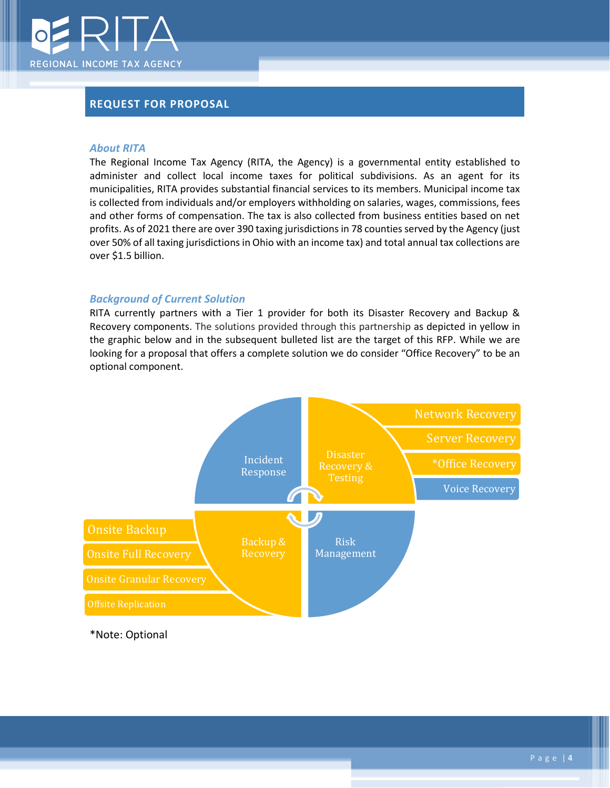

## <span id="page-3-0"></span>**REQUEST FOR PROPOSAL**

#### <span id="page-3-1"></span>*About RITA*

The Regional Income Tax Agency (RITA, the Agency) is a governmental entity established to administer and collect local income taxes for political subdivisions. As an agent for its municipalities, RITA provides substantial financial services to its members. Municipal income tax is collected from individuals and/or employers withholding on salaries, wages, commissions, fees and other forms of compensation. The tax is also collected from business entities based on net profits. As of 2021 there are over 390 taxing jurisdictions in 78 counties served by the Agency (just over 50% of all taxing jurisdictions in Ohio with an income tax) and total annual tax collections are over \$1.5 billion.

#### <span id="page-3-2"></span>*Background of Current Solution*

RITA currently partners with a Tier 1 provider for both its Disaster Recovery and Backup & Recovery components. The solutions provided through this partnership as depicted in yellow in the graphic below and in the subsequent bulleted list are the target of this RFP. While we are looking for a proposal that offers a complete solution we do consider "Office Recovery" to be an optional component.



\*Note: Optional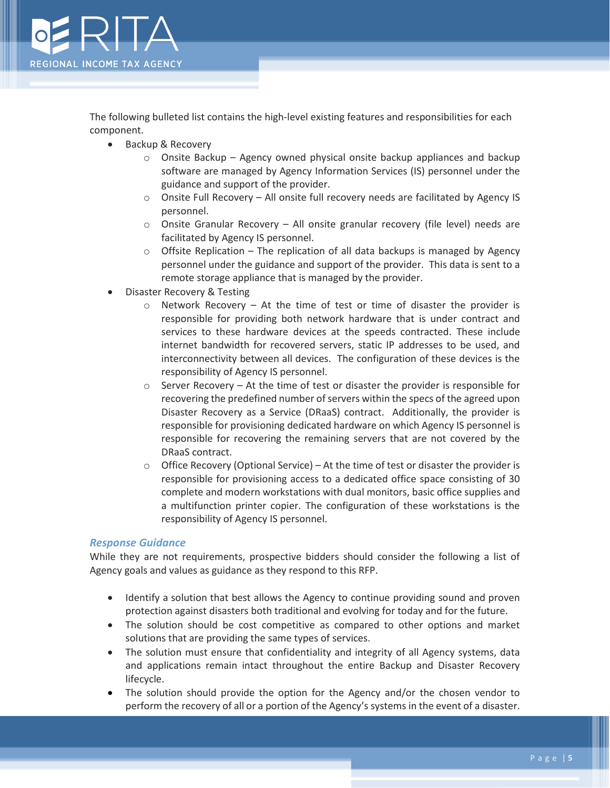

The following bulleted list contains the high-level existing features and responsibilities for each component.

- Backup & Recovery
	- $\circ$  Onsite Backup Agency owned physical onsite backup appliances and backup software are managed by Agency Information Services (IS) personnel under the guidance and support of the provider.
	- $\circ$  Onsite Full Recovery All onsite full recovery needs are facilitated by Agency IS personnel.
	- $\circ$  Onsite Granular Recovery All onsite granular recovery (file level) needs are facilitated by Agency IS personnel.
	- $\circ$  Offsite Replication The replication of all data backups is managed by Agency personnel under the guidance and support of the provider. This data is sent to a remote storage appliance that is managed by the provider.
- Disaster Recovery & Testing
	- $\circ$  Network Recovery At the time of test or time of disaster the provider is responsible for providing both network hardware that is under contract and services to these hardware devices at the speeds contracted. These include internet bandwidth for recovered servers, static IP addresses to be used, and interconnectivity between all devices. The configuration of these devices is the responsibility of Agency IS personnel.
	- $\circ$  Server Recovery At the time of test or disaster the provider is responsible for recovering the predefined number of servers within the specs of the agreed upon Disaster Recovery as a Service (DRaaS) contract. Additionally, the provider is responsible for provisioning dedicated hardware on which Agency IS personnel is responsible for recovering the remaining servers that are not covered by the DRaaS contract.
	- $\circ$  Office Recovery (Optional Service) At the time of test or disaster the provider is responsible for provisioning access to a dedicated office space consisting of 30 complete and modern workstations with dual monitors, basic office supplies and a multifunction printer copier. The configuration of these workstations is the responsibility of Agency IS personnel.

#### <span id="page-4-0"></span>*Response Guidance*

While they are not requirements, prospective bidders should consider the following a list of Agency goals and values as guidance as they respond to this RFP.

- Identify a solution that best allows the Agency to continue providing sound and proven protection against disasters both traditional and evolving for today and for the future.
- The solution should be cost competitive as compared to other options and market solutions that are providing the same types of services.
- The solution must ensure that confidentiality and integrity of all Agency systems, data and applications remain intact throughout the entire Backup and Disaster Recovery lifecycle.
- The solution should provide the option for the Agency and/or the chosen vendor to perform the recovery of all or a portion of the Agency's systems in the event of a disaster.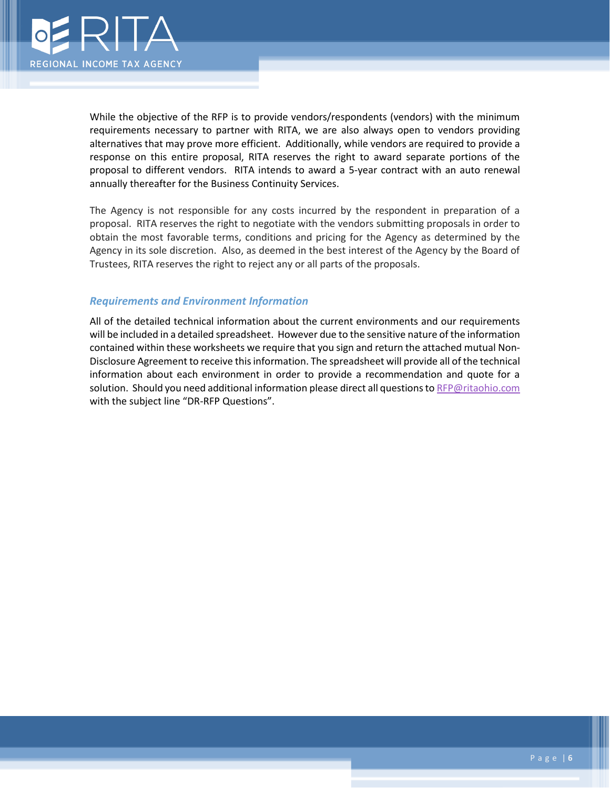

While the objective of the RFP is to provide vendors/respondents (vendors) with the minimum requirements necessary to partner with RITA, we are also always open to vendors providing alternatives that may prove more efficient. Additionally, while vendors are required to provide a response on this entire proposal, RITA reserves the right to award separate portions of the proposal to different vendors. RITA intends to award a 5-year contract with an auto renewal annually thereafter for the Business Continuity Services.

The Agency is not responsible for any costs incurred by the respondent in preparation of a proposal. RITA reserves the right to negotiate with the vendors submitting proposals in order to obtain the most favorable terms, conditions and pricing for the Agency as determined by the Agency in its sole discretion. Also, as deemed in the best interest of the Agency by the Board of Trustees, RITA reserves the right to reject any or all parts of the proposals.

#### <span id="page-5-0"></span>*Requirements and Environment Information*

All of the detailed technical information about the current environments and our requirements will be included in a detailed spreadsheet. However due to the sensitive nature of the information contained within these worksheets we require that you sign and return the attached mutual Non-Disclosure Agreement to receive this information. The spreadsheet will provide all of the technical information about each environment in order to provide a recommendation and quote for a solution. Should you need additional information please direct all questions t[o RFP@ritaohio.com](mailto:RFP@ritaohio.com) with the subject line "DR-RFP Questions".